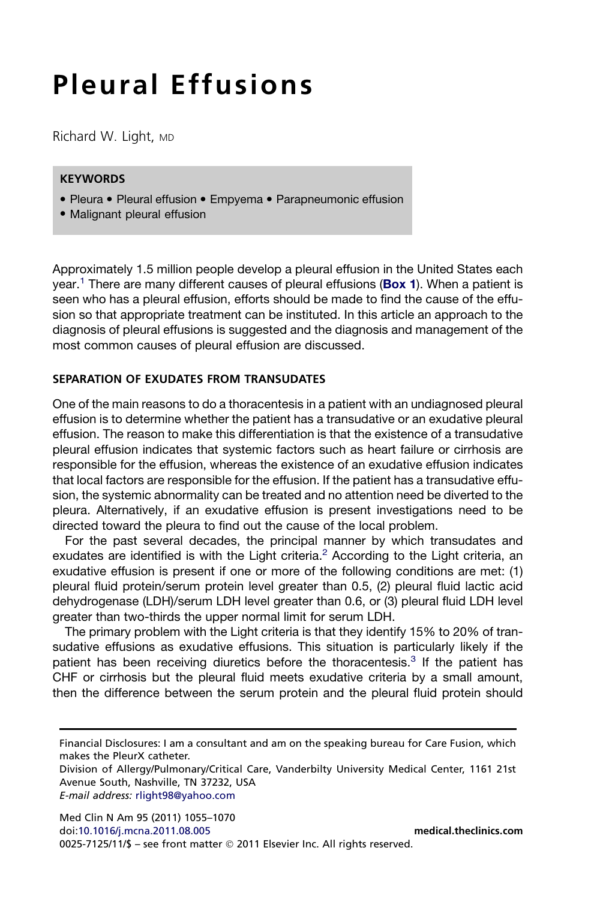# Pleural Effusions

Richard W. Light, MD

# **KEYWORDS**

- Pleura Pleural effusion Empyema Parapneumonic effusion
- Malignant pleural effusion

Approximately 1.5 million people develop a pleural effusion in the United States each year.<sup>[1](#page-12-0)</sup> There are many different causes of pleural effusions (**[Box 1](#page-1-0)**). When a patient is seen who has a pleural effusion, efforts should be made to find the cause of the effusion so that appropriate treatment can be instituted. In this article an approach to the diagnosis of pleural effusions is suggested and the diagnosis and management of the most common causes of pleural effusion are discussed.

#### SEPARATION OF EXUDATES FROM TRANSUDATES

One of the main reasons to do a thoracentesis in a patient with an undiagnosed pleural effusion is to determine whether the patient has a transudative or an exudative pleural effusion. The reason to make this differentiation is that the existence of a transudative pleural effusion indicates that systemic factors such as heart failure or cirrhosis are responsible for the effusion, whereas the existence of an exudative effusion indicates that local factors are responsible for the effusion. If the patient has a transudative effusion, the systemic abnormality can be treated and no attention need be diverted to the pleura. Alternatively, if an exudative effusion is present investigations need to be directed toward the pleura to find out the cause of the local problem.

For the past several decades, the principal manner by which transudates and exudates are identified is with the Light criteria.<sup>[2](#page-12-0)</sup> According to the Light criteria, an exudative effusion is present if one or more of the following conditions are met: (1) pleural fluid protein/serum protein level greater than 0.5, (2) pleural fluid lactic acid dehydrogenase (LDH)/serum LDH level greater than 0.6, or (3) pleural fluid LDH level greater than two-thirds the upper normal limit for serum LDH.

The primary problem with the Light criteria is that they identify 15% to 20% of transudative effusions as exudative effusions. This situation is particularly likely if the patient has been receiving diuretics before the thoracentesis.<sup>[3](#page-12-0)</sup> If the patient has CHF or cirrhosis but the pleural fluid meets exudative criteria by a small amount, then the difference between the serum protein and the pleural fluid protein should

E-mail address: [rlight98@yahoo.com](mailto:rlight98@yahoo.com)

Med Clin N Am 95 (2011) 1055–1070 doi[:10.1016/j.mcna.2011.08.005](http://dx.doi.org/10.1016/j.mcna.2011.08.005) [medical.theclinics.com](http://medical.theclinics.com) 0025-7125/11/\$ – see front matter 2011 Elsevier Inc. All rights reserved.

Financial Disclosures: I am a consultant and am on the speaking bureau for Care Fusion, which makes the PleurX catheter.

Division of Allergy/Pulmonary/Critical Care, Vanderbilty University Medical Center, 1161 21st Avenue South, Nashville, TN 37232, USA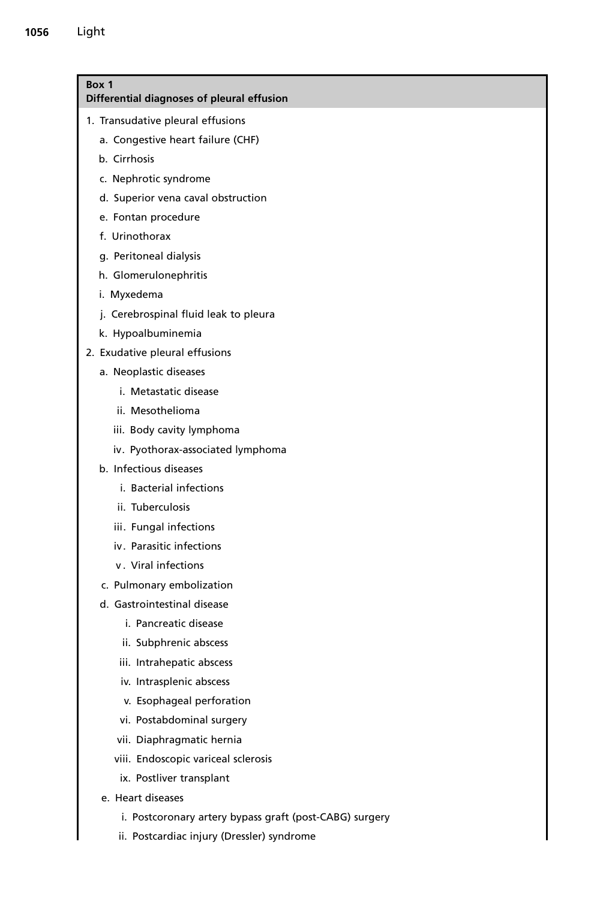<span id="page-1-0"></span>

| Box 1<br>Differential diagnoses of pleural effusion     |
|---------------------------------------------------------|
| 1. Transudative pleural effusions                       |
| a. Congestive heart failure (CHF)                       |
| b. Cirrhosis                                            |
| c. Nephrotic syndrome                                   |
| d. Superior vena caval obstruction                      |
| e. Fontan procedure                                     |
| f. Urinothorax                                          |
| g. Peritoneal dialysis                                  |
| h. Glomerulonephritis                                   |
| i. Myxedema                                             |
| j. Cerebrospinal fluid leak to pleura                   |
| k. Hypoalbuminemia                                      |
| 2. Exudative pleural effusions                          |
| a. Neoplastic diseases                                  |
| i. Metastatic disease                                   |
| ii. Mesothelioma                                        |
| iii. Body cavity lymphoma                               |
| iv. Pyothorax-associated lymphoma                       |
| b. Infectious diseases                                  |
| i. Bacterial infections                                 |
| ii. Tuberculosis                                        |
| iii. Fungal infections                                  |
| iv. Parasitic infections                                |
| v. Viral infections                                     |
| c. Pulmonary embolization                               |
| d. Gastrointestinal disease                             |
| i. Pancreatic disease                                   |
| ii. Subphrenic abscess                                  |
| iii. Intrahepatic abscess                               |
| iv. Intrasplenic abscess                                |
| v. Esophageal perforation                               |
| vi. Postabdominal surgery                               |
| vii. Diaphragmatic hernia                               |
| viii. Endoscopic variceal sclerosis                     |
| ix. Postliver transplant                                |
| e. Heart diseases                                       |
| i. Postcoronary artery bypass graft (post-CABG) surgery |

ii. Postcardiac injury (Dressler) syndrome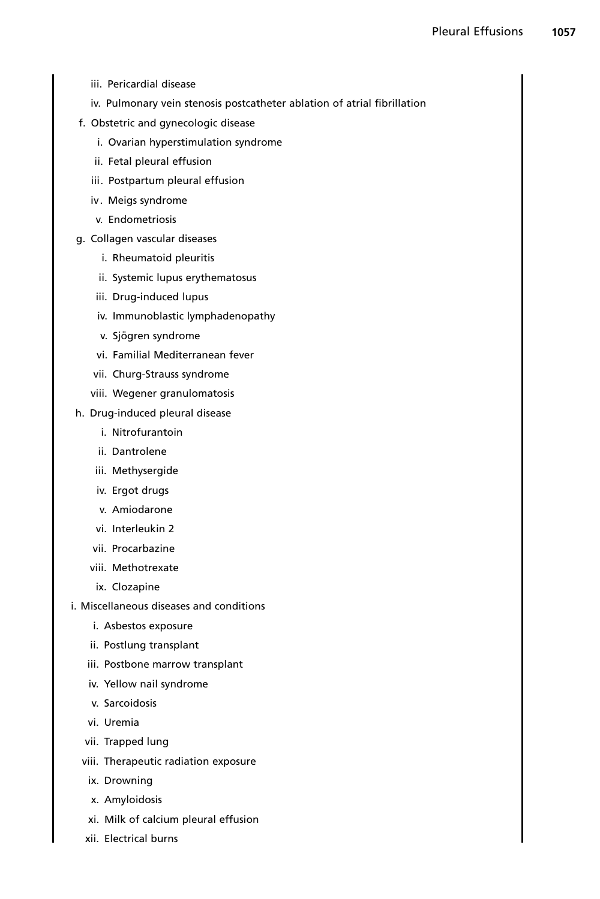- iii. Pericardial disease
- iv. Pulmonary vein stenosis postcatheter ablation of atrial fibrillation
- f. Obstetric and gynecologic disease
	- i. Ovarian hyperstimulation syndrome
	- ii. Fetal pleural effusion
	- iii. Postpartum pleural effusion
	- iv. Meigs syndrome
	- v. Endometriosis
- g. Collagen vascular diseases
	- i. Rheumatoid pleuritis
	- ii. Systemic lupus erythematosus
	- iii. Drug-induced lupus
	- iv. Immunoblastic lymphadenopathy
	- v. Sjögren syndrome
	- vi. Familial Mediterranean fever
	- vii. Churg-Strauss syndrome
	- viii. Wegener granulomatosis
- h. Drug-induced pleural disease
	- i. Nitrofurantoin
	- ii. Dantrolene
	- iii. Methysergide
	- iv. Ergot drugs
	- v. Amiodarone
	- vi. Interleukin 2
	- vii. Procarbazine
	- viii. Methotrexate
	- ix. Clozapine
- i. Miscellaneous diseases and conditions
	- i. Asbestos exposure
	- ii. Postlung transplant
	- iii. Postbone marrow transplant
	- iv. Yellow nail syndrome
	- v. Sarcoidosis
	- vi. Uremia
	- vii. Trapped lung
	- viii. Therapeutic radiation exposure
		- ix. Drowning
		- x. Amyloidosis
		- xi. Milk of calcium pleural effusion
	- xii. Electrical burns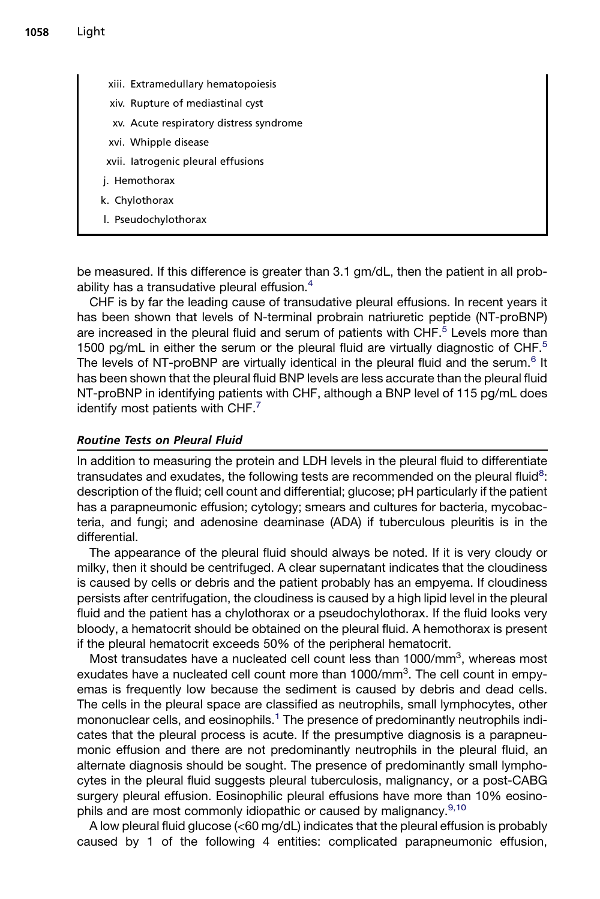- xiii. Extramedullary hematopoiesis
- xiv. Rupture of mediastinal cyst
- xv. Acute respiratory distress syndrome
- xvi. Whipple disease
- xvii. Iatrogenic pleural effusions
- j. Hemothorax
- k. Chylothorax
- l. Pseudochylothorax

be measured. If this difference is greater than 3.1 gm/dL, then the patient in all probability has a transudative pleural effusion.[4](#page-12-0)

CHF is by far the leading cause of transudative pleural effusions. In recent years it has been shown that levels of N-terminal probrain natriuretic peptide (NT-proBNP) are increased in the pleural fluid and serum of patients with CHF.<sup>[5](#page-13-0)</sup> Levels more than 1[5](#page-13-0)00 pg/mL in either the serum or the pleural fluid are virtually diagnostic of  $CHF<sup>5</sup>$ The levels of NT-proBNP are virtually identical in the pleural fluid and the serum.<sup>[6](#page-13-0)</sup> It has been shown that the pleural fluid BNP levels are less accurate than the pleural fluid NT-proBNP in identifying patients with CHF, although a BNP level of 115 pg/mL does identify most patients with CHF.<sup>[7](#page-13-0)</sup>

#### Routine Tests on Pleural Fluid

In addition to measuring the protein and LDH levels in the pleural fluid to differentiate transudates and exudates, the following tests are recommended on the pleural fluid<sup>[8](#page-13-0)</sup>: description of the fluid; cell count and differential; glucose; pH particularly if the patient has a parapneumonic effusion; cytology; smears and cultures for bacteria, mycobacteria, and fungi; and adenosine deaminase (ADA) if tuberculous pleuritis is in the differential.

The appearance of the pleural fluid should always be noted. If it is very cloudy or milky, then it should be centrifuged. A clear supernatant indicates that the cloudiness is caused by cells or debris and the patient probably has an empyema. If cloudiness persists after centrifugation, the cloudiness is caused by a high lipid level in the pleural fluid and the patient has a chylothorax or a pseudochylothorax. If the fluid looks very bloody, a hematocrit should be obtained on the pleural fluid. A hemothorax is present if the pleural hematocrit exceeds 50% of the peripheral hematocrit.

Most transudates have a nucleated cell count less than 1000/mm<sup>3</sup>, whereas most exudates have a nucleated cell count more than 1000/mm<sup>3</sup>. The cell count in empyemas is frequently low because the sediment is caused by debris and dead cells. The cells in the pleural space are classified as neutrophils, small lymphocytes, other mononuclear cells, and eosinophils.<sup>[1](#page-12-0)</sup> The presence of predominantly neutrophils indicates that the pleural process is acute. If the presumptive diagnosis is a parapneumonic effusion and there are not predominantly neutrophils in the pleural fluid, an alternate diagnosis should be sought. The presence of predominantly small lymphocytes in the pleural fluid suggests pleural tuberculosis, malignancy, or a post-CABG surgery pleural effusion. Eosinophilic pleural effusions have more than 10% eosino-phils and are most commonly idiopathic or caused by malignancy.<sup>[9,10](#page-13-0)</sup>

A low pleural fluid glucose (<60 mg/dL) indicates that the pleural effusion is probably caused by 1 of the following 4 entities: complicated parapneumonic effusion,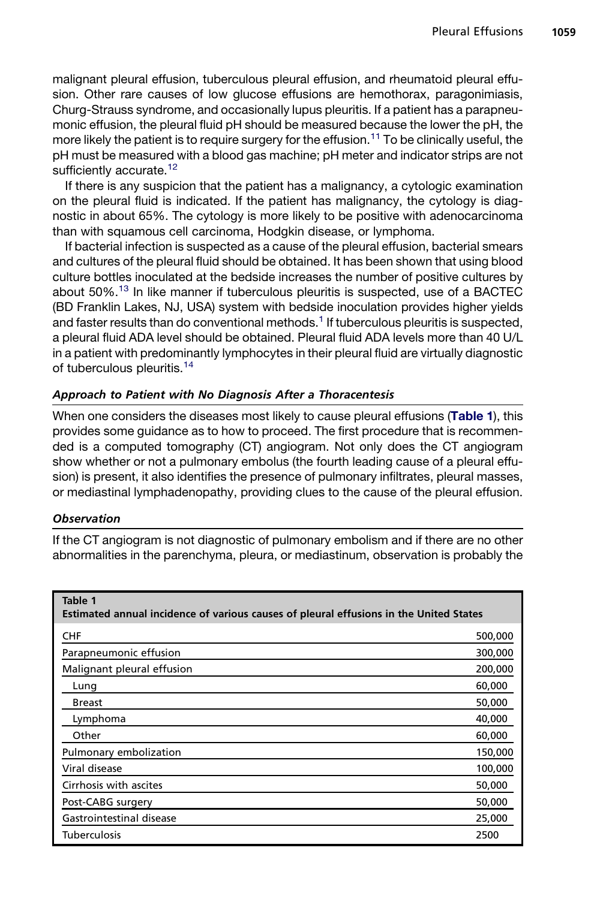<span id="page-4-0"></span>malignant pleural effusion, tuberculous pleural effusion, and rheumatoid pleural effusion. Other rare causes of low glucose effusions are hemothorax, paragonimiasis, Churg-Strauss syndrome, and occasionally lupus pleuritis. If a patient has a parapneumonic effusion, the pleural fluid pH should be measured because the lower the pH, the more likely the patient is to require surgery for the effusion.<sup>[11](#page-13-0)</sup> To be clinically useful, the pH must be measured with a blood gas machine; pH meter and indicator strips are not sufficiently accurate.<sup>[12](#page-13-0)</sup>

If there is any suspicion that the patient has a malignancy, a cytologic examination on the pleural fluid is indicated. If the patient has malignancy, the cytology is diagnostic in about 65%. The cytology is more likely to be positive with adenocarcinoma than with squamous cell carcinoma, Hodgkin disease, or lymphoma.

If bacterial infection is suspected as a cause of the pleural effusion, bacterial smears and cultures of the pleural fluid should be obtained. It has been shown that using blood culture bottles inoculated at the bedside increases the number of positive cultures by about 50%.<sup>13</sup> In like manner if tuberculous pleuritis is suspected, use of a BACTEC (BD Franklin Lakes, NJ, USA) system with bedside inoculation provides higher yields and faster results than do conventional methods.<sup>[1](#page-12-0)</sup> If tuberculous pleuritis is suspected, a pleural fluid ADA level should be obtained. Pleural fluid ADA levels more than 40 U/L in a patient with predominantly lymphocytes in their pleural fluid are virtually diagnostic of tuberculous pleuritis.[14](#page-13-0)

# Approach to Patient with No Diagnosis After a Thoracentesis

When one considers the diseases most likely to cause pleural effusions (Table 1), this provides some guidance as to how to proceed. The first procedure that is recommended is a computed tomography (CT) angiogram. Not only does the CT angiogram show whether or not a pulmonary embolus (the fourth leading cause of a pleural effusion) is present, it also identifies the presence of pulmonary infiltrates, pleural masses, or mediastinal lymphadenopathy, providing clues to the cause of the pleural effusion.

# **Observation**

If the CT angiogram is not diagnostic of pulmonary embolism and if there are no other abnormalities in the parenchyma, pleura, or mediastinum, observation is probably the

| Table 1<br>Estimated annual incidence of various causes of pleural effusions in the United States |         |
|---------------------------------------------------------------------------------------------------|---------|
| <b>CHF</b>                                                                                        | 500,000 |
| Parapneumonic effusion                                                                            | 300,000 |
| Malignant pleural effusion                                                                        | 200,000 |
| Lung                                                                                              | 60,000  |
| <b>Breast</b>                                                                                     | 50,000  |
| Lymphoma                                                                                          | 40,000  |
| Other                                                                                             | 60,000  |
| Pulmonary embolization                                                                            | 150,000 |
| Viral disease                                                                                     | 100,000 |
| Cirrhosis with ascites                                                                            | 50,000  |
| Post-CABG surgery                                                                                 | 50,000  |
| Gastrointestinal disease                                                                          | 25,000  |
| <b>Tuberculosis</b>                                                                               | 2500    |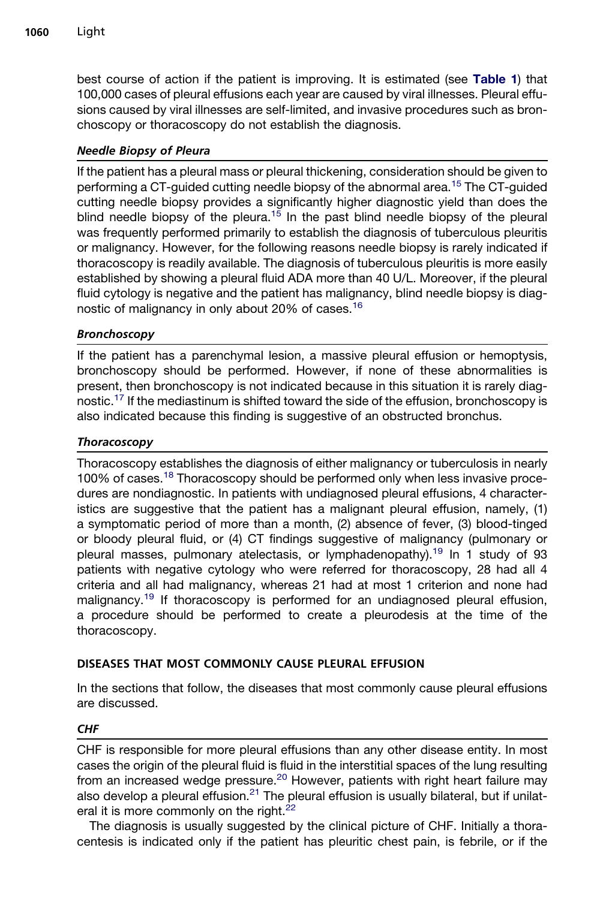best course of action if the patient is improving. It is estimated (see [Table 1](#page-4-0)) that 100,000 cases of pleural effusions each year are caused by viral illnesses. Pleural effusions caused by viral illnesses are self-limited, and invasive procedures such as bronchoscopy or thoracoscopy do not establish the diagnosis.

# Needle Biopsy of Pleura

If the patient has a pleural mass or pleural thickening, consideration should be given to performing a CT-guided cutting needle biopsy of the abnormal area.[15](#page-13-0) The CT-guided cutting needle biopsy provides a significantly higher diagnostic yield than does the blind needle biopsy of the pleura.<sup>[15](#page-13-0)</sup> In the past blind needle biopsy of the pleural was frequently performed primarily to establish the diagnosis of tuberculous pleuritis or malignancy. However, for the following reasons needle biopsy is rarely indicated if thoracoscopy is readily available. The diagnosis of tuberculous pleuritis is more easily established by showing a pleural fluid ADA more than 40 U/L. Moreover, if the pleural fluid cytology is negative and the patient has malignancy, blind needle biopsy is diagnostic of malignancy in only about 20% of cases.[16](#page-13-0)

# Bronchoscopy

If the patient has a parenchymal lesion, a massive pleural effusion or hemoptysis, bronchoscopy should be performed. However, if none of these abnormalities is present, then bronchoscopy is not indicated because in this situation it is rarely diag-nostic.<sup>[17](#page-13-0)</sup> If the mediastinum is shifted toward the side of the effusion, bronchoscopy is also indicated because this finding is suggestive of an obstructed bronchus.

# Thoracoscopy

Thoracoscopy establishes the diagnosis of either malignancy or tuberculosis in nearly 100% of cases.<sup>[18](#page-13-0)</sup> Thoracoscopy should be performed only when less invasive procedures are nondiagnostic. In patients with undiagnosed pleural effusions, 4 characteristics are suggestive that the patient has a malignant pleural effusion, namely, (1) a symptomatic period of more than a month, (2) absence of fever, (3) blood-tinged or bloody pleural fluid, or (4) CT findings suggestive of malignancy (pulmonary or pleural masses, pulmonary atelectasis, or lymphadenopathy).<sup>[19](#page-13-0)</sup> In 1 study of 93 patients with negative cytology who were referred for thoracoscopy, 28 had all 4 criteria and all had malignancy, whereas 21 had at most 1 criterion and none had malignancy.<sup>[19](#page-13-0)</sup> If thoracoscopy is performed for an undiagnosed pleural effusion, a procedure should be performed to create a pleurodesis at the time of the thoracoscopy.

# DISEASES THAT MOST COMMONLY CAUSE PLEURAL EFFUSION

In the sections that follow, the diseases that most commonly cause pleural effusions are discussed.

# CHF

CHF is responsible for more pleural effusions than any other disease entity. In most cases the origin of the pleural fluid is fluid in the interstitial spaces of the lung resulting from an increased wedge pressure.<sup>20</sup> However, patients with right heart failure may also develop a pleural effusion.<sup>[21](#page-13-0)</sup> The pleural effusion is usually bilateral, but if unilateral it is more commonly on the right. $22$ 

The diagnosis is usually suggested by the clinical picture of CHF. Initially a thoracentesis is indicated only if the patient has pleuritic chest pain, is febrile, or if the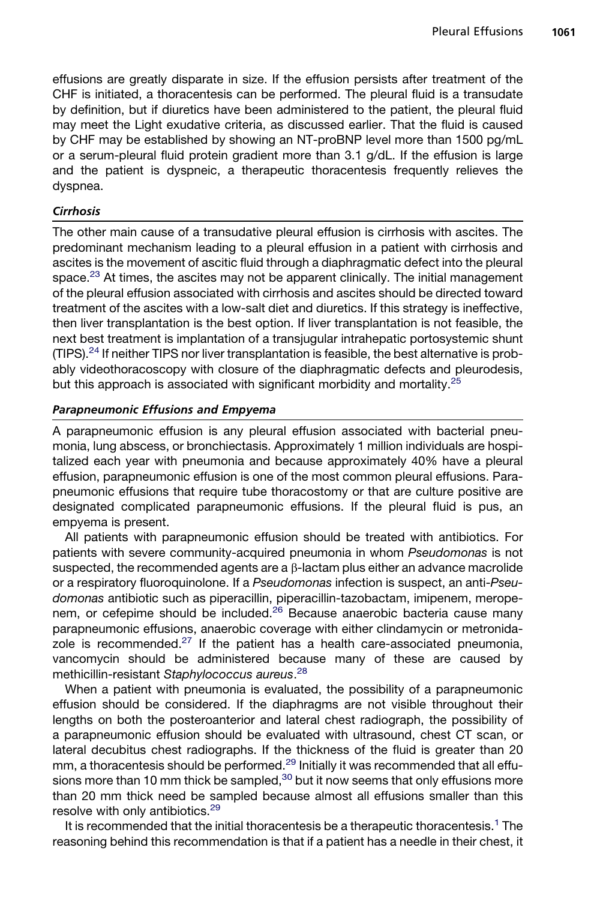effusions are greatly disparate in size. If the effusion persists after treatment of the CHF is initiated, a thoracentesis can be performed. The pleural fluid is a transudate by definition, but if diuretics have been administered to the patient, the pleural fluid may meet the Light exudative criteria, as discussed earlier. That the fluid is caused by CHF may be established by showing an NT-proBNP level more than 1500 pg/mL or a serum-pleural fluid protein gradient more than 3.1 g/dL. If the effusion is large and the patient is dyspneic, a therapeutic thoracentesis frequently relieves the dyspnea.

# Cirrhosis

The other main cause of a transudative pleural effusion is cirrhosis with ascites. The predominant mechanism leading to a pleural effusion in a patient with cirrhosis and ascites is the movement of ascitic fluid through a diaphragmatic defect into the pleural space.<sup>[23](#page-13-0)</sup> At times, the ascites may not be apparent clinically. The initial management of the pleural effusion associated with cirrhosis and ascites should be directed toward treatment of the ascites with a low-salt diet and diuretics. If this strategy is ineffective, then liver transplantation is the best option. If liver transplantation is not feasible, the next best treatment is implantation of a transjugular intrahepatic portosystemic shunt (TIPS).<sup>[24](#page-13-0)</sup> If neither TIPS nor liver transplantation is feasible, the best alternative is probably videothoracoscopy with closure of the diaphragmatic defects and pleurodesis, but this approach is associated with significant morbidity and mortality.<sup>[25](#page-13-0)</sup>

# Parapneumonic Effusions and Empyema

A parapneumonic effusion is any pleural effusion associated with bacterial pneumonia, lung abscess, or bronchiectasis. Approximately 1 million individuals are hospitalized each year with pneumonia and because approximately 40% have a pleural effusion, parapneumonic effusion is one of the most common pleural effusions. Parapneumonic effusions that require tube thoracostomy or that are culture positive are designated complicated parapneumonic effusions. If the pleural fluid is pus, an empyema is present.

All patients with parapneumonic effusion should be treated with antibiotics. For patients with severe community-acquired pneumonia in whom *Pseudomonas* is not suspected, the recommended agents are a  $\beta$ -lactam plus either an advance macrolide or a respiratory fluoroquinolone. If a *Pseudomonas* infection is suspect, an anti-*Pseudomonas* antibiotic such as piperacillin, piperacillin-tazobactam, imipenem, merope-nem, or cefepime should be included.<sup>[26](#page-13-0)</sup> Because anaerobic bacteria cause many parapneumonic effusions, anaerobic coverage with either clindamycin or metronidazole is recommended. $27$  If the patient has a health care-associated pneumonia, vancomycin should be administered because many of these are caused by methicillin-resistant *Staphylococcus aureus*. [28](#page-14-0)

When a patient with pneumonia is evaluated, the possibility of a parapneumonic effusion should be considered. If the diaphragms are not visible throughout their lengths on both the posteroanterior and lateral chest radiograph, the possibility of a parapneumonic effusion should be evaluated with ultrasound, chest CT scan, or lateral decubitus chest radiographs. If the thickness of the fluid is greater than 20 mm, a thoracentesis should be performed.<sup>[29](#page-14-0)</sup> Initially it was recommended that all effusions more than 10 mm thick be sampled, $30$  but it now seems that only effusions more than 20 mm thick need be sampled because almost all effusions smaller than this resolve with only antibiotics.<sup>[29](#page-14-0)</sup>

It is recommended that the initial thoracentesis be a therapeutic thoracentesis.<sup>[1](#page-12-0)</sup> The reasoning behind this recommendation is that if a patient has a needle in their chest, it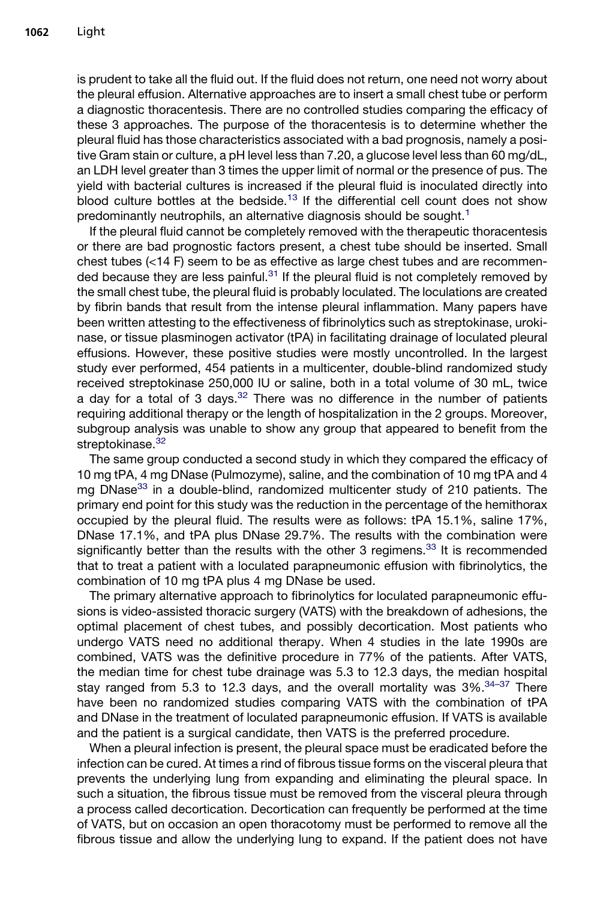is prudent to take all the fluid out. If the fluid does not return, one need not worry about the pleural effusion. Alternative approaches are to insert a small chest tube or perform a diagnostic thoracentesis. There are no controlled studies comparing the efficacy of these 3 approaches. The purpose of the thoracentesis is to determine whether the pleural fluid has those characteristics associated with a bad prognosis, namely a positive Gram stain or culture, a pH level less than 7.20, a glucose level less than 60 mg/dL, an LDH level greater than 3 times the upper limit of normal or the presence of pus. The yield with bacterial cultures is increased if the pleural fluid is inoculated directly into blood culture bottles at the bedside.<sup>[13](#page-13-0)</sup> If the differential cell count does not show predominantly neutrophils, an alternative diagnosis should be sought.<sup>[1](#page-12-0)</sup>

If the pleural fluid cannot be completely removed with the therapeutic thoracentesis or there are bad prognostic factors present, a chest tube should be inserted. Small chest tubes (<14 F) seem to be as effective as large chest tubes and are recommended because they are less painful. $31$  If the pleural fluid is not completely removed by the small chest tube, the pleural fluid is probably loculated. The loculations are created by fibrin bands that result from the intense pleural inflammation. Many papers have been written attesting to the effectiveness of fibrinolytics such as streptokinase, urokinase, or tissue plasminogen activator (tPA) in facilitating drainage of loculated pleural effusions. However, these positive studies were mostly uncontrolled. In the largest study ever performed, 454 patients in a multicenter, double-blind randomized study received streptokinase 250,000 IU or saline, both in a total volume of 30 mL, twice a day for a total of 3 days. $32$  There was no difference in the number of patients requiring additional therapy or the length of hospitalization in the 2 groups. Moreover, subgroup analysis was unable to show any group that appeared to benefit from the streptokinase.<sup>[32](#page-14-0)</sup>

The same group conducted a second study in which they compared the efficacy of 10 mg tPA, 4 mg DNase (Pulmozyme), saline, and the combination of 10 mg tPA and 4 mg DNase $33$  in a double-blind, randomized multicenter study of 210 patients. The primary end point for this study was the reduction in the percentage of the hemithorax occupied by the pleural fluid. The results were as follows: tPA 15.1%, saline 17%, DNase 17.1%, and tPA plus DNase 29.7%. The results with the combination were significantly better than the results with the other 3 regimens.<sup>[33](#page-14-0)</sup> It is recommended that to treat a patient with a loculated parapneumonic effusion with fibrinolytics, the combination of 10 mg tPA plus 4 mg DNase be used.

The primary alternative approach to fibrinolytics for loculated parapneumonic effusions is video-assisted thoracic surgery (VATS) with the breakdown of adhesions, the optimal placement of chest tubes, and possibly decortication. Most patients who undergo VATS need no additional therapy. When 4 studies in the late 1990s are combined, VATS was the definitive procedure in 77% of the patients. After VATS, the median time for chest tube drainage was 5.3 to 12.3 days, the median hospital stay ranged from 5.3 to 12.3 days, and the overall mortality was  $3\%$ .  $34-37$  There have been no randomized studies comparing VATS with the combination of tPA and DNase in the treatment of loculated parapneumonic effusion. If VATS is available and the patient is a surgical candidate, then VATS is the preferred procedure.

When a pleural infection is present, the pleural space must be eradicated before the infection can be cured. At times a rind of fibrous tissue forms on the visceral pleura that prevents the underlying lung from expanding and eliminating the pleural space. In such a situation, the fibrous tissue must be removed from the visceral pleura through a process called decortication. Decortication can frequently be performed at the time of VATS, but on occasion an open thoracotomy must be performed to remove all the fibrous tissue and allow the underlying lung to expand. If the patient does not have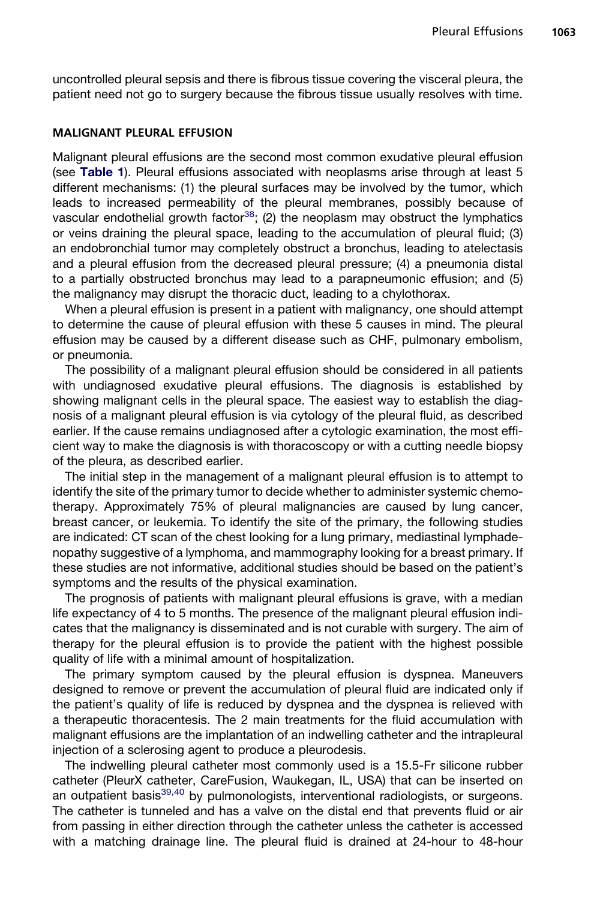uncontrolled pleural sepsis and there is fibrous tissue covering the visceral pleura, the patient need not go to surgery because the fibrous tissue usually resolves with time.

#### MALIGNANT PLEURAL EFFUSION

Malignant pleural effusions are the second most common exudative pleural effusion (see [Table 1](#page-4-0)). Pleural effusions associated with neoplasms arise through at least 5 different mechanisms: (1) the pleural surfaces may be involved by the tumor, which leads to increased permeability of the pleural membranes, possibly because of vascular endothelial growth factor<sup>[38](#page-14-0)</sup>; (2) the neoplasm may obstruct the lymphatics or veins draining the pleural space, leading to the accumulation of pleural fluid; (3) an endobronchial tumor may completely obstruct a bronchus, leading to atelectasis and a pleural effusion from the decreased pleural pressure; (4) a pneumonia distal to a partially obstructed bronchus may lead to a parapneumonic effusion; and (5) the malignancy may disrupt the thoracic duct, leading to a chylothorax.

When a pleural effusion is present in a patient with malignancy, one should attempt to determine the cause of pleural effusion with these 5 causes in mind. The pleural effusion may be caused by a different disease such as CHF, pulmonary embolism, or pneumonia.

The possibility of a malignant pleural effusion should be considered in all patients with undiagnosed exudative pleural effusions. The diagnosis is established by showing malignant cells in the pleural space. The easiest way to establish the diagnosis of a malignant pleural effusion is via cytology of the pleural fluid, as described earlier. If the cause remains undiagnosed after a cytologic examination, the most efficient way to make the diagnosis is with thoracoscopy or with a cutting needle biopsy of the pleura, as described earlier.

The initial step in the management of a malignant pleural effusion is to attempt to identify the site of the primary tumor to decide whether to administer systemic chemotherapy. Approximately 75% of pleural malignancies are caused by lung cancer, breast cancer, or leukemia. To identify the site of the primary, the following studies are indicated: CT scan of the chest looking for a lung primary, mediastinal lymphadenopathy suggestive of a lymphoma, and mammography looking for a breast primary. If these studies are not informative, additional studies should be based on the patient's symptoms and the results of the physical examination.

The prognosis of patients with malignant pleural effusions is grave, with a median life expectancy of 4 to 5 months. The presence of the malignant pleural effusion indicates that the malignancy is disseminated and is not curable with surgery. The aim of therapy for the pleural effusion is to provide the patient with the highest possible quality of life with a minimal amount of hospitalization.

The primary symptom caused by the pleural effusion is dyspnea. Maneuvers designed to remove or prevent the accumulation of pleural fluid are indicated only if the patient's quality of life is reduced by dyspnea and the dyspnea is relieved with a therapeutic thoracentesis. The 2 main treatments for the fluid accumulation with malignant effusions are the implantation of an indwelling catheter and the intrapleural injection of a sclerosing agent to produce a pleurodesis.

The indwelling pleural catheter most commonly used is a 15.5-Fr silicone rubber catheter (PleurX catheter, CareFusion, Waukegan, IL, USA) that can be inserted on an outpatient basis<sup>[39,40](#page-14-0)</sup> by pulmonologists, interventional radiologists, or surgeons. The catheter is tunneled and has a valve on the distal end that prevents fluid or air from passing in either direction through the catheter unless the catheter is accessed with a matching drainage line. The pleural fluid is drained at 24-hour to 48-hour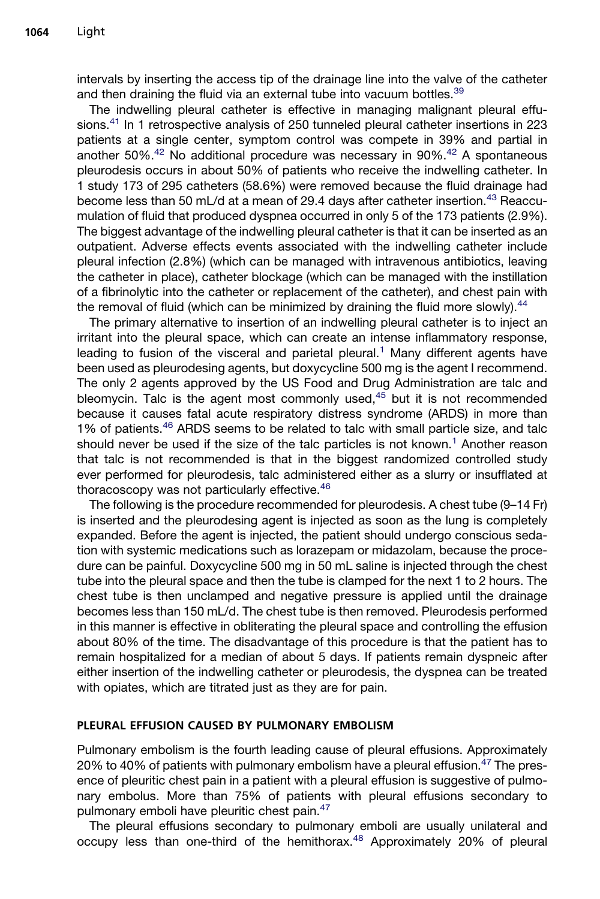intervals by inserting the access tip of the drainage line into the valve of the catheter and then draining the fluid via an external tube into vacuum bottles.<sup>[39](#page-14-0)</sup>

The indwelling pleural catheter is effective in managing malignant pleural effusions.[41](#page-14-0) In 1 retrospective analysis of 250 tunneled pleural catheter insertions in 223 patients at a single center, symptom control was compete in 39% and partial in another 50%.<sup>[42](#page-14-0)</sup> No additional procedure was necessary in 90%.<sup>42</sup> A spontaneous pleurodesis occurs in about 50% of patients who receive the indwelling catheter. In 1 study 173 of 295 catheters (58.6%) were removed because the fluid drainage had become less than 50 mL/d at a mean of 29.4 days after catheter insertion.<sup>[43](#page-14-0)</sup> Reaccumulation of fluid that produced dyspnea occurred in only 5 of the 173 patients (2.9%). The biggest advantage of the indwelling pleural catheter is that it can be inserted as an outpatient. Adverse effects events associated with the indwelling catheter include pleural infection (2.8%) (which can be managed with intravenous antibiotics, leaving the catheter in place), catheter blockage (which can be managed with the instillation of a fibrinolytic into the catheter or replacement of the catheter), and chest pain with the removal of fluid (which can be minimized by draining the fluid more slowly).  $44$ 

The primary alternative to insertion of an indwelling pleural catheter is to inject an irritant into the pleural space, which can create an intense inflammatory response, leading to fusion of the visceral and parietal pleural.<sup>[1](#page-12-0)</sup> Many different agents have been used as pleurodesing agents, but doxycycline 500 mg is the agent I recommend. The only 2 agents approved by the US Food and Drug Administration are talc and bleomycin. Talc is the agent most commonly used, $45$  but it is not recommended because it causes fatal acute respiratory distress syndrome (ARDS) in more than 1% of patients.<sup>[46](#page-14-0)</sup> ARDS seems to be related to talc with small particle size, and talc should never be used if the size of the talc particles is not known.<sup>[1](#page-12-0)</sup> Another reason that talc is not recommended is that in the biggest randomized controlled study ever performed for pleurodesis, talc administered either as a slurry or insufflated at thoracoscopy was not particularly effective.<sup>[46](#page-14-0)</sup>

The following is the procedure recommended for pleurodesis. A chest tube (9–14 Fr) is inserted and the pleurodesing agent is injected as soon as the lung is completely expanded. Before the agent is injected, the patient should undergo conscious sedation with systemic medications such as lorazepam or midazolam, because the procedure can be painful. Doxycycline 500 mg in 50 mL saline is injected through the chest tube into the pleural space and then the tube is clamped for the next 1 to 2 hours. The chest tube is then unclamped and negative pressure is applied until the drainage becomes less than 150 mL/d. The chest tube is then removed. Pleurodesis performed in this manner is effective in obliterating the pleural space and controlling the effusion about 80% of the time. The disadvantage of this procedure is that the patient has to remain hospitalized for a median of about 5 days. If patients remain dyspneic after either insertion of the indwelling catheter or pleurodesis, the dyspnea can be treated with opiates, which are titrated just as they are for pain.

#### PLEURAL EFFUSION CAUSED BY PULMONARY EMBOLISM

Pulmonary embolism is the fourth leading cause of pleural effusions. Approximately 20% to 40% of patients with pulmonary embolism have a pleural effusion. $47$  The presence of pleuritic chest pain in a patient with a pleural effusion is suggestive of pulmonary embolus. More than 75% of patients with pleural effusions secondary to pulmonary emboli have pleuritic chest pain.[47](#page-14-0)

The pleural effusions secondary to pulmonary emboli are usually unilateral and occupy less than one-third of the hemithorax.<sup>[48](#page-14-0)</sup> Approximately 20% of pleural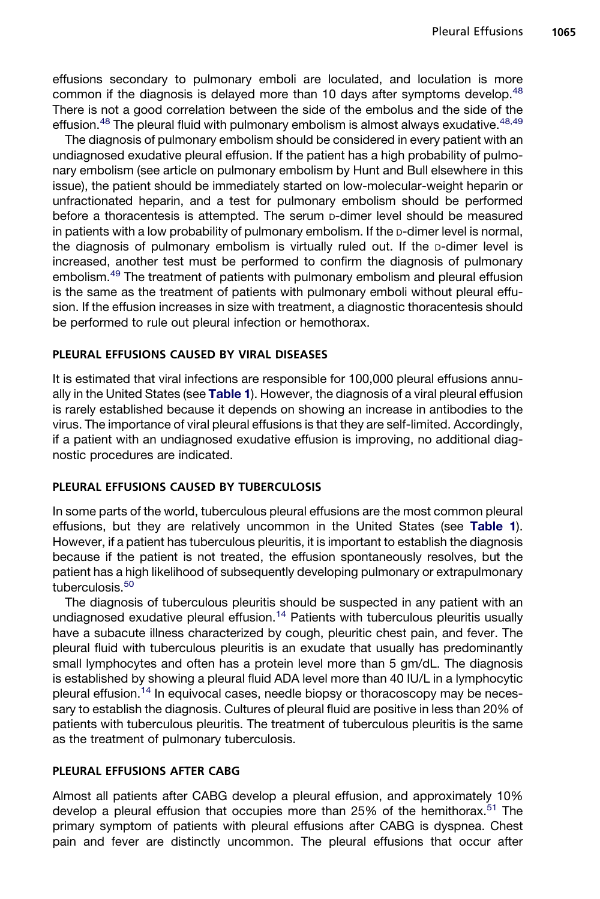effusions secondary to pulmonary emboli are loculated, and loculation is more common if the diagnosis is delayed more than 10 days after symptoms develop.<sup>[48](#page-14-0)</sup> There is not a good correlation between the side of the embolus and the side of the effusion. $48$  The pleural fluid with pulmonary embolism is almost always exudative.  $48,49$ 

The diagnosis of pulmonary embolism should be considered in every patient with an undiagnosed exudative pleural effusion. If the patient has a high probability of pulmonary embolism (see article on pulmonary embolism by Hunt and Bull elsewhere in this issue), the patient should be immediately started on low-molecular-weight heparin or unfractionated heparin, and a test for pulmonary embolism should be performed before a thoracentesis is attempted. The serum p-dimer level should be measured in patients with a low probability of pulmonary embolism. If the  $p$ -dimer level is normal, the diagnosis of pulmonary embolism is virtually ruled out. If the p-dimer level is increased, another test must be performed to confirm the diagnosis of pulmonary embolism.<sup>[49](#page-15-0)</sup> The treatment of patients with pulmonary embolism and pleural effusion is the same as the treatment of patients with pulmonary emboli without pleural effusion. If the effusion increases in size with treatment, a diagnostic thoracentesis should be performed to rule out pleural infection or hemothorax.

# PLEURAL EFFUSIONS CAUSED BY VIRAL DISEASES

It is estimated that viral infections are responsible for 100,000 pleural effusions annu-ally in the United States (see [Table 1](#page-4-0)). However, the diagnosis of a viral pleural effusion is rarely established because it depends on showing an increase in antibodies to the virus. The importance of viral pleural effusions is that they are self-limited. Accordingly, if a patient with an undiagnosed exudative effusion is improving, no additional diagnostic procedures are indicated.

# PLEURAL EFFUSIONS CAUSED BY TUBERCULOSIS

In some parts of the world, tuberculous pleural effusions are the most common pleural effusions, but they are relatively uncommon in the United States (see [Table 1](#page-4-0)). However, if a patient has tuberculous pleuritis, it is important to establish the diagnosis because if the patient is not treated, the effusion spontaneously resolves, but the patient has a high likelihood of subsequently developing pulmonary or extrapulmonary tuberculosis.<sup>[50](#page-15-0)</sup>

The diagnosis of tuberculous pleuritis should be suspected in any patient with an undiagnosed exudative pleural effusion.<sup>[14](#page-13-0)</sup> Patients with tuberculous pleuritis usually have a subacute illness characterized by cough, pleuritic chest pain, and fever. The pleural fluid with tuberculous pleuritis is an exudate that usually has predominantly small lymphocytes and often has a protein level more than 5 gm/dL. The diagnosis is established by showing a pleural fluid ADA level more than 40 IU/L in a lymphocytic pleural effusion.[14](#page-13-0) In equivocal cases, needle biopsy or thoracoscopy may be necessary to establish the diagnosis. Cultures of pleural fluid are positive in less than 20% of patients with tuberculous pleuritis. The treatment of tuberculous pleuritis is the same as the treatment of pulmonary tuberculosis.

# PLEURAL EFFUSIONS AFTER CABG

Almost all patients after CABG develop a pleural effusion, and approximately 10% develop a pleural effusion that occupies more than 25% of the hemithorax.<sup>[51](#page-15-0)</sup> The primary symptom of patients with pleural effusions after CABG is dyspnea. Chest pain and fever are distinctly uncommon. The pleural effusions that occur after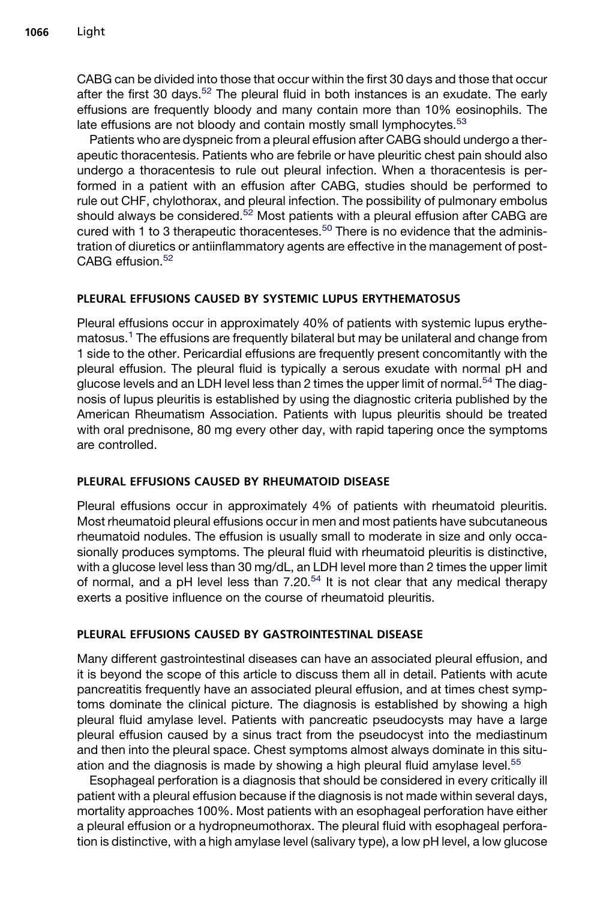CABG can be divided into those that occur within the first 30 days and those that occur after the first 30 days.<sup>[52](#page-15-0)</sup> The pleural fluid in both instances is an exudate. The early effusions are frequently bloody and many contain more than 10% eosinophils. The late effusions are not bloody and contain mostly small lymphocytes.<sup>[53](#page-15-0)</sup>

Patients who are dyspneic from a pleural effusion after CABG should undergo a therapeutic thoracentesis. Patients who are febrile or have pleuritic chest pain should also undergo a thoracentesis to rule out pleural infection. When a thoracentesis is performed in a patient with an effusion after CABG, studies should be performed to rule out CHF, chylothorax, and pleural infection. The possibility of pulmonary embolus should always be considered.<sup>[52](#page-15-0)</sup> Most patients with a pleural effusion after CABG are cured with 1 to 3 therapeutic thoracenteses.<sup>[50](#page-15-0)</sup> There is no evidence that the administration of diuretics or antiinflammatory agents are effective in the management of post- $CARSG$  effusion  $52$ 

# PLEURAL EFFUSIONS CAUSED BY SYSTEMIC LUPUS ERYTHEMATOSUS

Pleural effusions occur in approximately 40% of patients with systemic lupus erythematosus.[1](#page-12-0) The effusions are frequently bilateral but may be unilateral and change from 1 side to the other. Pericardial effusions are frequently present concomitantly with the pleural effusion. The pleural fluid is typically a serous exudate with normal pH and glucose levels and an LDH level less than 2 times the upper limit of normal.<sup>[54](#page-15-0)</sup> The diagnosis of lupus pleuritis is established by using the diagnostic criteria published by the American Rheumatism Association. Patients with lupus pleuritis should be treated with oral prednisone, 80 mg every other day, with rapid tapering once the symptoms are controlled.

# PLEURAL EFFUSIONS CAUSED BY RHEUMATOID DISEASE

Pleural effusions occur in approximately 4% of patients with rheumatoid pleuritis. Most rheumatoid pleural effusions occur in men and most patients have subcutaneous rheumatoid nodules. The effusion is usually small to moderate in size and only occasionally produces symptoms. The pleural fluid with rheumatoid pleuritis is distinctive, with a glucose level less than 30 mg/dL, an LDH level more than 2 times the upper limit of normal, and a pH level less than  $7.20<sup>54</sup>$  $7.20<sup>54</sup>$  $7.20<sup>54</sup>$  It is not clear that any medical therapy exerts a positive influence on the course of rheumatoid pleuritis.

# PLEURAL EFFUSIONS CAUSED BY GASTROINTESTINAL DISEASE

Many different gastrointestinal diseases can have an associated pleural effusion, and it is beyond the scope of this article to discuss them all in detail. Patients with acute pancreatitis frequently have an associated pleural effusion, and at times chest symptoms dominate the clinical picture. The diagnosis is established by showing a high pleural fluid amylase level. Patients with pancreatic pseudocysts may have a large pleural effusion caused by a sinus tract from the pseudocyst into the mediastinum and then into the pleural space. Chest symptoms almost always dominate in this situ-ation and the diagnosis is made by showing a high pleural fluid amylase level.<sup>[55](#page-15-0)</sup>

Esophageal perforation is a diagnosis that should be considered in every critically ill patient with a pleural effusion because if the diagnosis is not made within several days, mortality approaches 100%. Most patients with an esophageal perforation have either a pleural effusion or a hydropneumothorax. The pleural fluid with esophageal perforation is distinctive, with a high amylase level (salivary type), a low pH level, a low glucose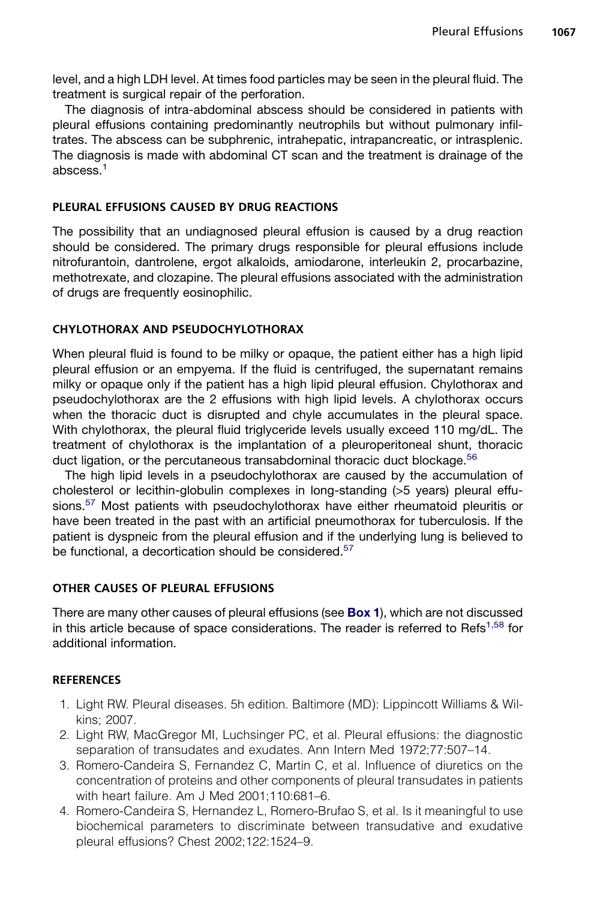<span id="page-12-0"></span>level, and a high LDH level. At times food particles may be seen in the pleural fluid. The treatment is surgical repair of the perforation.

The diagnosis of intra-abdominal abscess should be considered in patients with pleural effusions containing predominantly neutrophils but without pulmonary infiltrates. The abscess can be subphrenic, intrahepatic, intrapancreatic, or intrasplenic. The diagnosis is made with abdominal CT scan and the treatment is drainage of the abscess.1

### PLEURAL EFFUSIONS CAUSED BY DRUG REACTIONS

The possibility that an undiagnosed pleural effusion is caused by a drug reaction should be considered. The primary drugs responsible for pleural effusions include nitrofurantoin, dantrolene, ergot alkaloids, amiodarone, interleukin 2, procarbazine, methotrexate, and clozapine. The pleural effusions associated with the administration of drugs are frequently eosinophilic.

#### CHYLOTHORAX AND PSEUDOCHYLOTHORAX

When pleural fluid is found to be milky or opaque, the patient either has a high lipid pleural effusion or an empyema. If the fluid is centrifuged, the supernatant remains milky or opaque only if the patient has a high lipid pleural effusion. Chylothorax and pseudochylothorax are the 2 effusions with high lipid levels. A chylothorax occurs when the thoracic duct is disrupted and chyle accumulates in the pleural space. With chylothorax, the pleural fluid triglyceride levels usually exceed 110 mg/dL. The treatment of chylothorax is the implantation of a pleuroperitoneal shunt, thoracic duct ligation, or the percutaneous transabdominal thoracic duct blockage.<sup>[56](#page-15-0)</sup>

The high lipid levels in a pseudochylothorax are caused by the accumulation of cholesterol or lecithin-globulin complexes in long-standing (>5 years) pleural effu-sions.<sup>[57](#page-15-0)</sup> Most patients with pseudochylothorax have either rheumatoid pleuritis or have been treated in the past with an artificial pneumothorax for tuberculosis. If the patient is dyspneic from the pleural effusion and if the underlying lung is believed to be functional, a decortication should be considered.<sup>[57](#page-15-0)</sup>

#### OTHER CAUSES OF PLEURAL EFFUSIONS

There are many other causes of pleural effusions (see **[Box 1](#page-1-0)**), which are not discussed in this article because of space considerations. The reader is referred to Refs<sup>1,58</sup> for additional information.

# **REFERENCES**

- 1. Light RW. Pleural diseases. 5h edition. Baltimore (MD): Lippincott Williams & Wilkins; 2007.
- 2. Light RW, MacGregor MI, Luchsinger PC, et al. Pleural effusions: the diagnostic separation of transudates and exudates. Ann Intern Med 1972;77:507–14.
- 3. Romero-Candeira S, Fernandez C, Martin C, et al. Influence of diuretics on the concentration of proteins and other components of pleural transudates in patients with heart failure. Am J Med 2001;110:681–6.
- 4. Romero-Candeira S, Hernandez L, Romero-Brufao S, et al. Is it meaningful to use biochemical parameters to discriminate between transudative and exudative pleural effusions? Chest 2002;122:1524–9.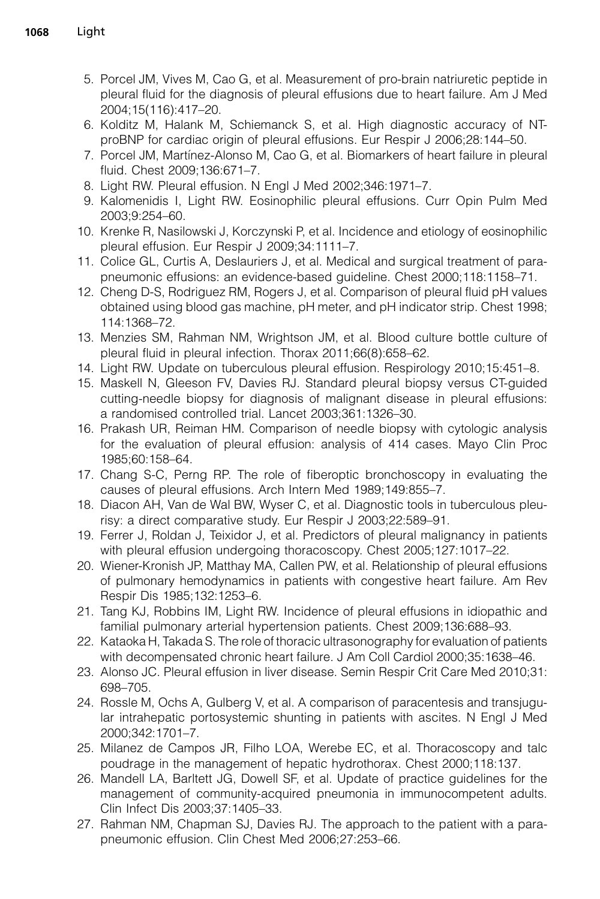- <span id="page-13-0"></span>5. Porcel JM, Vives M, Cao G, et al. Measurement of pro-brain natriuretic peptide in pleural fluid for the diagnosis of pleural effusions due to heart failure. Am J Med 2004;15(116):417–20.
- 6. Kolditz M, Halank M, Schiemanck S, et al. High diagnostic accuracy of NTproBNP for cardiac origin of pleural effusions. Eur Respir J 2006;28:144–50.
- 7. Porcel JM, Martínez-Alonso M, Cao G, et al. Biomarkers of heart failure in pleural fluid. Chest 2009;136:671–7.
- 8. Light RW. Pleural effusion. N Engl J Med 2002;346:1971–7.
- 9. Kalomenidis I, Light RW. Eosinophilic pleural effusions. Curr Opin Pulm Med 2003;9:254–60.
- 10. Krenke R, Nasilowski J, Korczynski P, et al. Incidence and etiology of eosinophilic pleural effusion. Eur Respir J 2009;34:1111–7.
- 11. Colice GL, Curtis A, Deslauriers J, et al. Medical and surgical treatment of parapneumonic effusions: an evidence-based guideline. Chest 2000;118:1158–71.
- 12. Cheng D-S, Rodriguez RM, Rogers J, et al. Comparison of pleural fluid pH values obtained using blood gas machine, pH meter, and pH indicator strip. Chest 1998; 114:1368–72.
- 13. Menzies SM, Rahman NM, Wrightson JM, et al. Blood culture bottle culture of pleural fluid in pleural infection. Thorax 2011;66(8):658–62.
- 14. Light RW. Update on tuberculous pleural effusion. Respirology 2010;15:451–8.
- 15. Maskell N, Gleeson FV, Davies RJ. Standard pleural biopsy versus CT-guided cutting-needle biopsy for diagnosis of malignant disease in pleural effusions: a randomised controlled trial. Lancet 2003;361:1326–30.
- 16. Prakash UR, Reiman HM. Comparison of needle biopsy with cytologic analysis for the evaluation of pleural effusion: analysis of 414 cases. Mayo Clin Proc 1985;60:158–64.
- 17. Chang S-C, Perng RP. The role of fiberoptic bronchoscopy in evaluating the causes of pleural effusions. Arch Intern Med 1989;149:855–7.
- 18. Diacon AH, Van de Wal BW, Wyser C, et al. Diagnostic tools in tuberculous pleurisy: a direct comparative study. Eur Respir J 2003;22:589–91.
- 19. Ferrer J, Roldan J, Teixidor J, et al. Predictors of pleural malignancy in patients with pleural effusion undergoing thoracoscopy. Chest 2005;127:1017–22.
- 20. Wiener-Kronish JP, Matthay MA, Callen PW, et al. Relationship of pleural effusions of pulmonary hemodynamics in patients with congestive heart failure. Am Rev Respir Dis 1985;132:1253–6.
- 21. Tang KJ, Robbins IM, Light RW. Incidence of pleural effusions in idiopathic and familial pulmonary arterial hypertension patients. Chest 2009;136:688–93.
- 22. Kataoka H, Takada S. The role of thoracic ultrasonography for evaluation of patients with decompensated chronic heart failure. J Am Coll Cardiol 2000;35:1638–46.
- 23. Alonso JC. Pleural effusion in liver disease. Semin Respir Crit Care Med 2010;31: 698–705.
- 24. Rossle M, Ochs A, Gulberg V, et al. A comparison of paracentesis and transjugular intrahepatic portosystemic shunting in patients with ascites. N Engl J Med 2000;342:1701–7.
- 25. Milanez de Campos JR, Filho LOA, Werebe EC, et al. Thoracoscopy and talc poudrage in the management of hepatic hydrothorax. Chest 2000;118:137.
- 26. Mandell LA, Barltett JG, Dowell SF, et al. Update of practice guidelines for the management of community-acquired pneumonia in immunocompetent adults. Clin Infect Dis 2003;37:1405–33.
- 27. Rahman NM, Chapman SJ, Davies RJ. The approach to the patient with a parapneumonic effusion. Clin Chest Med 2006;27:253–66.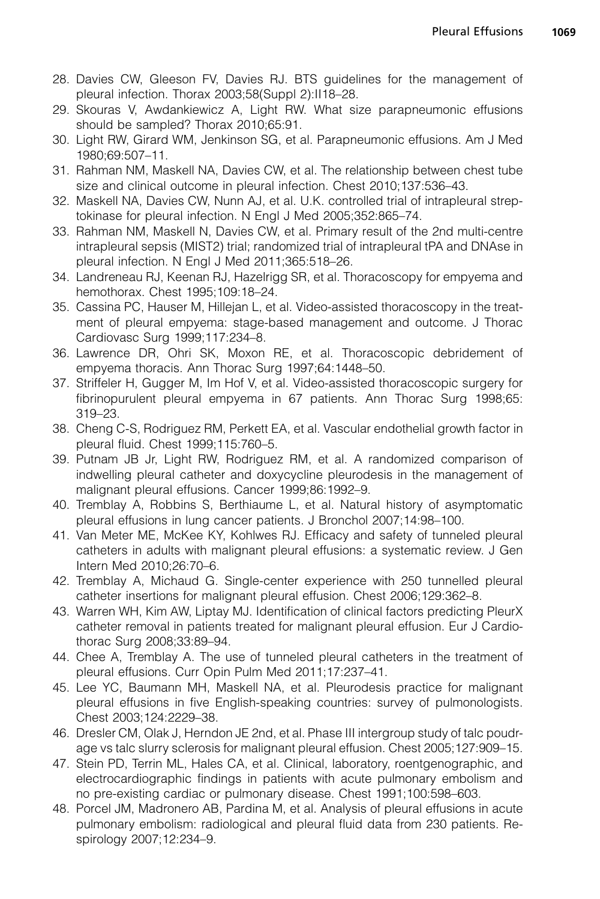- <span id="page-14-0"></span>28. Davies CW, Gleeson FV, Davies RJ. BTS guidelines for the management of pleural infection. Thorax 2003;58(Suppl 2):II18–28.
- 29. Skouras V, Awdankiewicz A, Light RW. What size parapneumonic effusions should be sampled? Thorax 2010;65:91.
- 30. Light RW, Girard WM, Jenkinson SG, et al. Parapneumonic effusions. Am J Med 1980;69:507–11.
- 31. Rahman NM, Maskell NA, Davies CW, et al. The relationship between chest tube size and clinical outcome in pleural infection. Chest 2010;137:536–43.
- 32. Maskell NA, Davies CW, Nunn AJ, et al. U.K. controlled trial of intrapleural streptokinase for pleural infection. N Engl J Med 2005;352:865–74.
- 33. Rahman NM, Maskell N, Davies CW, et al. Primary result of the 2nd multi-centre intrapleural sepsis (MIST2) trial; randomized trial of intrapleural tPA and DNAse in pleural infection. N Engl J Med 2011;365:518–26.
- 34. Landreneau RJ, Keenan RJ, Hazelrigg SR, et al. Thoracoscopy for empyema and hemothorax. Chest 1995;109:18–24.
- 35. Cassina PC, Hauser M, Hillejan L, et al. Video-assisted thoracoscopy in the treatment of pleural empyema: stage-based management and outcome. J Thorac Cardiovasc Surg 1999;117:234–8.
- 36. Lawrence DR, Ohri SK, Moxon RE, et al. Thoracoscopic debridement of empyema thoracis. Ann Thorac Surg 1997;64:1448–50.
- 37. Striffeler H, Gugger M, Im Hof V, et al. Video-assisted thoracoscopic surgery for fibrinopurulent pleural empyema in 67 patients. Ann Thorac Surg 1998;65: 319–23.
- 38. Cheng C-S, Rodriguez RM, Perkett EA, et al. Vascular endothelial growth factor in pleural fluid. Chest 1999;115:760–5.
- 39. Putnam JB Jr, Light RW, Rodriguez RM, et al. A randomized comparison of indwelling pleural catheter and doxycycline pleurodesis in the management of malignant pleural effusions. Cancer 1999;86:1992–9.
- 40. Tremblay A, Robbins S, Berthiaume L, et al. Natural history of asymptomatic pleural effusions in lung cancer patients. J Bronchol 2007;14:98–100.
- 41. Van Meter ME, McKee KY, Kohlwes RJ. Efficacy and safety of tunneled pleural catheters in adults with malignant pleural effusions: a systematic review. J Gen Intern Med 2010;26:70–6.
- 42. Tremblay A, Michaud G. Single-center experience with 250 tunnelled pleural catheter insertions for malignant pleural effusion. Chest 2006;129:362–8.
- 43. Warren WH, Kim AW, Liptay MJ. Identification of clinical factors predicting PleurX catheter removal in patients treated for malignant pleural effusion. Eur J Cardiothorac Surg 2008;33:89–94.
- 44. Chee A, Tremblay A. The use of tunneled pleural catheters in the treatment of pleural effusions. Curr Opin Pulm Med 2011;17:237–41.
- 45. Lee YC, Baumann MH, Maskell NA, et al. Pleurodesis practice for malignant pleural effusions in five English-speaking countries: survey of pulmonologists. Chest 2003;124:2229–38.
- 46. Dresler CM, Olak J, Herndon JE 2nd, et al. Phase III intergroup study of talc poudrage vs talc slurry sclerosis for malignant pleural effusion. Chest 2005;127:909–15.
- 47. Stein PD, Terrin ML, Hales CA, et al. Clinical, laboratory, roentgenographic, and electrocardiographic findings in patients with acute pulmonary embolism and no pre-existing cardiac or pulmonary disease. Chest 1991;100:598–603.
- 48. Porcel JM, Madronero AB, Pardina M, et al. Analysis of pleural effusions in acute pulmonary embolism: radiological and pleural fluid data from 230 patients. Respirology 2007;12:234–9.